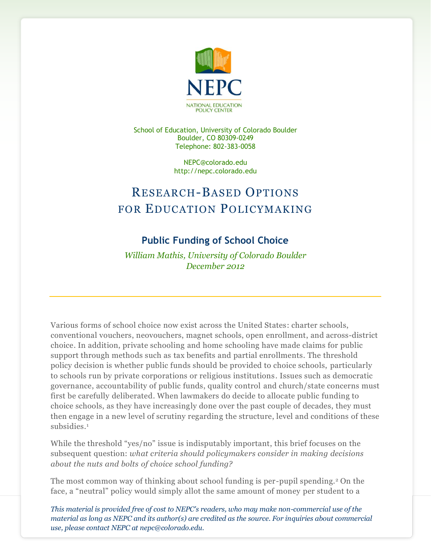

School of Education, University of Colorado Boulder Boulder, CO 80309-0249 Telephone: 802-383-0058

> NEPC@colorado.edu http://nepc.colorado.edu

## RESEARCH-BASED OPTIONS FOR EDUCATION POLICYMAKING

## **Public Funding of School Choice**

*William Mathis, University of Colorado Boulder December 2012*

Various forms of school choice now exist across the United States: charter schools, conventional vouchers, neovouchers, magnet schools, open enrollment, and across-district choice. In addition, private schooling and home schooling have made claims for public support through methods such as tax benefits and partial enrollments. The threshold policy decision is whether public funds should be provided to choice schools, particularly to schools run by private corporations or religious institutions. Issues such as democratic governance, accountability of public funds, quality control and church/state concerns must first be carefully deliberated. When lawmakers do decide to allocate public funding to choice schools, as they have increasingly done over the past couple of decades, they must then engage in a new level of scrutiny regarding the structure, level and conditions of these subsidies. 1

While the threshold "yes/no" issue is indisputably important, this brief focuses on the subsequent question: *what criteria should policymakers consider in making decisions about the nuts and bolts of choice school funding?*

The most common way of thinking about school funding is per-pupil spending.<sup>2</sup> On the face, a "neutral" policy would simply allot the same amount of money per student to a

*This material is provided free of cost to NEPC's readers, who may make non-commercial use of the material as long as NEPC and its author(s) are credited as the source. For inquiries about commercial use, please contact NEPC at nepc@colorado.edu.*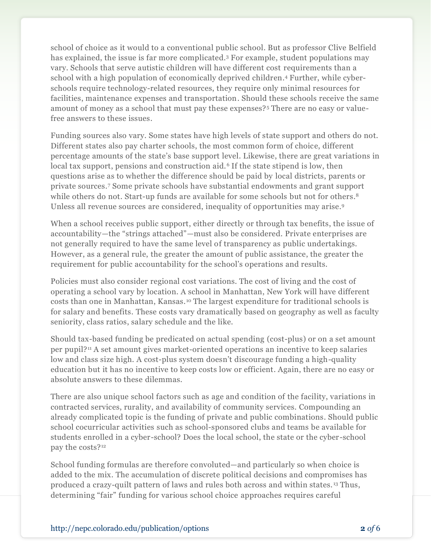school of choice as it would to a conventional public school. But as professor Clive Belfield has explained, the issue is far more complicated. <sup>3</sup> For example, student populations may vary. Schools that serve autistic children will have different cost requirements than a school with a high population of economically deprived children. <sup>4</sup> Further, while cyberschools require technology-related resources, they require only minimal resources for facilities, maintenance expenses and transportation. Should these schools receive the same amount of money as a school that must pay these expenses?<sup>5</sup> There are no easy or valuefree answers to these issues.

Funding sources also vary. Some states have high levels of state support and others do not. Different states also pay charter schools, the most common form of choice, different percentage amounts of the state's base support level. Likewise, there are great variations in local tax support, pensions and construction aid.<sup>6</sup> If the state stipend is low, then questions arise as to whether the difference should be paid by local districts, parents or private sources.<sup>7</sup> Some private schools have substantial endowments and grant support while others do not. Start-up funds are available for some schools but not for others. 8 Unless all revenue sources are considered, inequality of opportunities may arise. 9

When a school receives public support, either directly or through tax benefits, the issue of accountability—the "strings attached"—must also be considered. Private enterprises are not generally required to have the same level of transparency as public undertakings. However, as a general rule, the greater the amount of public assistance, the greater the requirement for public accountability for the school's operations and results.

Policies must also consider regional cost variations. The cost of living and the cost of operating a school vary by location. A school in Manhattan, New York will have different costs than one in Manhattan, Kansas.<sup>10</sup> The largest expenditure for traditional schools is for salary and benefits. These costs vary dramatically based on geography as well as faculty seniority, class ratios, salary schedule and the like.

Should tax-based funding be predicated on actual spending (cost-plus) or on a set amount per pupil?<sup>11</sup> A set amount gives market-oriented operations an incentive to keep salaries low and class size high. A cost-plus system doesn't discourage funding a high-quality education but it has no incentive to keep costs low or efficient. Again, there are no easy or absolute answers to these dilemmas.

There are also unique school factors such as age and condition of the facility, variations in contracted services, rurality, and availability of community services. Compounding an already complicated topic is the funding of private and public combinations. Should public school cocurricular activities such as school-sponsored clubs and teams be available for students enrolled in a cyber-school? Does the local school, the state or the cyber -school pay the costs?<sup>12</sup>

School funding formulas are therefore convoluted—and particularly so when choice is added to the mix. The accumulation of discrete political decisions and compromises has produced a crazy-quilt pattern of laws and rules both across and within states. <sup>13</sup> Thus, determining "fair" funding for various school choice approaches requires careful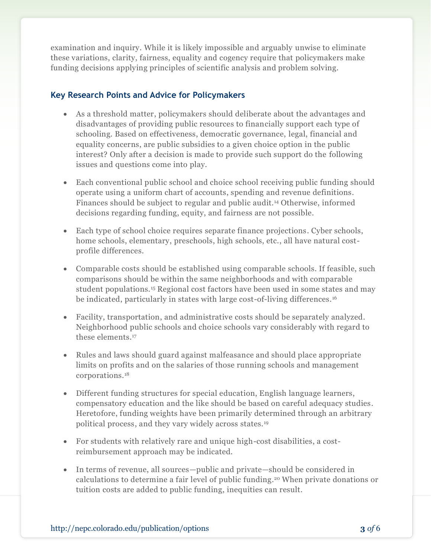examination and inquiry. While it is likely impossible and arguably unwise to eliminate these variations, clarity, fairness, equality and cogency require that policymakers make funding decisions applying principles of scientific analysis and problem solving.

## **Key Research Points and Advice for Policymakers**

- As a threshold matter, policymakers should deliberate about the advantages and disadvantages of providing public resources to financially support each type of schooling. Based on effectiveness, democratic governance, legal, financial and equality concerns, are public subsidies to a given choice option in the public interest? Only after a decision is made to provide such support do the following issues and questions come into play.
- Each conventional public school and choice school receiving public funding should operate using a uniform chart of accounts, spending and revenue definitions. Finances should be subject to regular and public audit.<sup>14</sup> Otherwise, informed decisions regarding funding, equity, and fairness are not possible.
- Each type of school choice requires separate finance projections. Cyber schools, home schools, elementary, preschools, high schools, etc., all have natural costprofile differences.
- Comparable costs should be established using comparable schools. If feasible, such comparisons should be within the same neighborhoods and with comparable student populations.<sup>15</sup> Regional cost factors have been used in some states and may be indicated, particularly in states with large cost-of-living differences.<sup>16</sup>
- Facility, transportation, and administrative costs should be separately analyzed. Neighborhood public schools and choice schools vary considerably with regard to these elements. 17
- Rules and laws should guard against malfeasance and should place appropriate limits on profits and on the salaries of those running schools and management corporations.<sup>18</sup>
- Different funding structures for special education, English language learners, compensatory education and the like should be based on careful adequacy studies. Heretofore, funding weights have been primarily determined through an arbitrary political process, and they vary widely across states.<sup>19</sup>
- For students with relatively rare and unique high-cost disabilities, a costreimbursement approach may be indicated.
- In terms of revenue, all sources—public and private—should be considered in calculations to determine a fair level of public funding. <sup>20</sup> When private donations or tuition costs are added to public funding, inequities can result.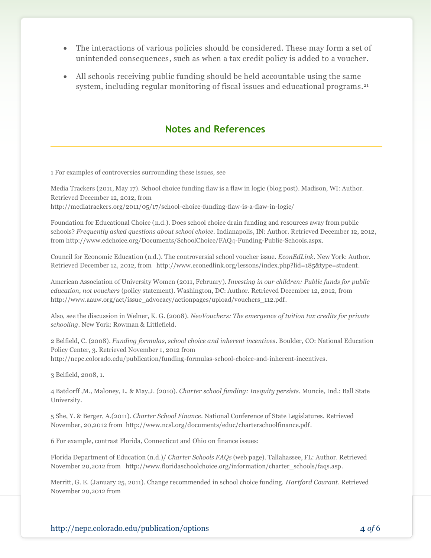- The interactions of various policies should be considered. These may form a set of unintended consequences, such as when a tax credit policy is added to a voucher.
- All schools receiving public funding should be held accountable using the same system, including regular monitoring of fiscal issues and educational programs.<sup>21</sup>

## **Notes and References**

1 For examples of controversies surrounding these issues, see

Media Trackers (2011, May 17). School choice funding flaw is a flaw in logic (blog post). Madison, WI: Author. Retrieved December 12, 2012, from http://mediatrackers.org/2011/05/17/school-choice-funding-flaw-is-a-flaw-in-logic/

Foundation for Educational Choice (n.d.). Does school choice drain funding and resources away from public schools? *Frequently asked questions about school choice.* Indianapolis, IN: Author. Retrieved December 12, 2012, from http://www.edchoice.org/Documents/SchoolChoice/FAQ4-Funding-Public-Schools.aspx.

Council for Economic Education (n.d.). The controversial school voucher issue. *EconEdLink*. New York: Author. Retrieved December 12, 2012, from http://www.econedlink.org/lessons/index.php?lid=185&type=student.

American Association of University Women (2011, February). *Investing in our children: Public funds for public education, not vouchers* (policy statement). Washington, DC: Author. Retrieved December 12, 2012, from http://www.aauw.org/act/issue\_advocacy/actionpages/upload/vouchers\_112.pdf.

Also, see the discussion in Welner, K. G. (2008). *NeoVouchers: The emergence of tuition tax credits for private schooling*. New York: Rowman & Littlefield.

2 Belfield, C. (2008). *Funding formulas, school choice and inherent incentives*. Boulder, CO: National Education Policy Center, 3. Retrieved November 1, 2012 from http://nepc.colorado.edu/publication/funding-formulas-school-choice-and-inherent-incentives.

3 Belfield, 2008, 1.

4 Batdorff ,M., Maloney, L. & May,J. (2010). *Charter school funding: Inequity persists*. Muncie, Ind.: Ball State University.

5 She, Y. & Berger, A.(2011). *Charter School Finance*. National Conference of State Legislatures. Retrieved November, 20,2012 from http://www.ncsl.org/documents/educ/charterschoolfinance.pdf.

6 For example, contrast Florida, Connecticut and Ohio on finance issues:

Florida Department of Education (n.d.)/ *Charter Schools FAQs* (web page). Tallahassee, FL: Author. Retrieved November 20,2012 from http://www.floridaschoolchoice.org/information/charter\_schools/faqs.asp.

Merritt, G. E. (January 25, 2011). Change recommended in school choice funding. *Hartford Courant*. Retrieved November 20,2012 from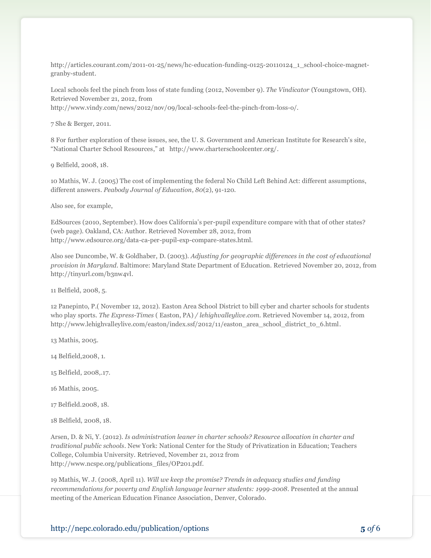http://articles.courant.com/2011-01-25/news/hc-education-funding-0125-20110124\_1\_school-choice-magnetgranby-student.

Local schools feel the pinch from loss of state funding (2012, November 9). *The Vindicator* (Youngstown, OH). Retrieved November 21, 2012, from

http://www.vindy.com/news/2012/nov/09/local-schools-feel-the-pinch-from-loss-o/.

7 She & Berger, 2011.

8 For further exploration of these issues, see, the U. S. Government and American Institute for Research's site, "National Charter School Resources," at http://www.charterschoolcenter.org/.

9 Belfield, 2008, 18.

10 Mathis, W. J. (2005) The cost of implementing the federal No Child Left Behind Act: different assumptions, different answers. *Peabody Journal of Education*, *80*(2), 91-120.

Also see, for example,

EdSources (2010, September). How does California's per-pupil expenditure compare with that of other states? (web page). Oakland, CA: Author. Retrieved November 28, 2012, from http://www.edsource.org/data-ca-per-pupil-exp-compare-states.html.

Also see Duncombe, W. & Goldhaber, D. (2003). *Adjusting for geographic differences in the cost of educational provision in Maryland*. Baltimore: Maryland State Department of Education. Retrieved November 20, 2012, from http://tinyurl.com/b3nw4vl.

11 Belfield, 2008, 5.

12 Panepinto, P.( November 12, 2012). Easton Area School District to bill cyber and charter schools for students who play sports. *The Express-Times* ( Easton, PA) */ lehighvalleylive.com*. Retrieved November 14, 2012, from http://www.lehighvalleylive.com/easton/index.ssf/2012/11/easton\_area\_school\_district\_to\_6.html.

13 Mathis, 2005.

14 Belfield,2008, 1.

15 Belfield, 2008,.17.

16 Mathis, 2005.

17 Belfield.2008, 18.

18 Belfield, 2008, 18.

Arsen, D. & Ni, Y. (2012). *Is administration leaner in charter schools? Resource allocation in charter and traditional public schools*. New York: National Center for the Study of Privatization in Education; Teachers College, Columbia University. Retrieved, November 21, 2012 from http://www.ncspe.org/publications\_files/OP201.pdf.

19 Mathis, W. J. (2008, April 11). *Will we keep the promise? Trends in adequacy studies and funding recommendations for poverty and English language learner students: 1999-2008*. Presented at the annual meeting of the American Education Finance Association, Denver, Colorado.